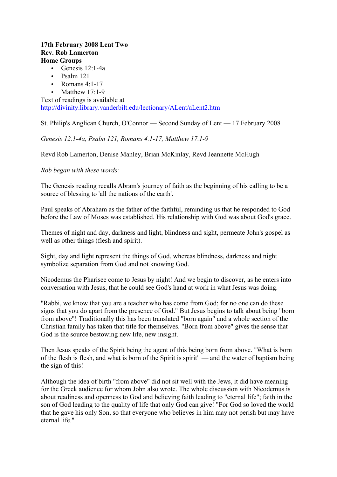## **17th February 2008 Lent Two Rev. Rob Lamerton Home Groups**

- Genesis 12:1-4a
- Psalm 121
- Romans  $4:1-17$
- Matthew 17:1-9

Text of readings is available at http://divinity.library.vanderbilt.edu/lectionary/ALent/aLent2.htm

St. Philip's Anglican Church, O'Connor — Second Sunday of Lent — 17 February 2008

*Genesis 12.1-4a, Psalm 121, Romans 4.1-17, Matthew 17.1-9*

Revd Rob Lamerton, Denise Manley, Brian McKinlay, Revd Jeannette McHugh

*Rob began with these words:*

The Genesis reading recalls Abram's journey of faith as the beginning of his calling to be a source of blessing to 'all the nations of the earth'.

Paul speaks of Abraham as the father of the faithful, reminding us that he responded to God before the Law of Moses was established. His relationship with God was about God's grace.

Themes of night and day, darkness and light, blindness and sight, permeate John's gospel as well as other things (flesh and spirit).

Sight, day and light represent the things of God, whereas blindness, darkness and night symbolize separation from God and not knowing God.

Nicodemus the Pharisee come to Jesus by night! And we begin to discover, as he enters into conversation with Jesus, that he could see God's hand at work in what Jesus was doing.

"Rabbi, we know that you are a teacher who has come from God; for no one can do these signs that you do apart from the presence of God." But Jesus begins to talk about being "born from above"! Traditionally this has been translated "born again" and a whole section of the Christian family has taken that title for themselves. "Born from above" gives the sense that God is the source bestowing new life, new insight.

Then Jesus speaks of the Spirit being the agent of this being born from above. "What is born of the flesh is flesh, and what is born of the Spirit is spirit" — and the water of baptism being the sign of this!

Although the idea of birth "from above" did not sit well with the Jews, it did have meaning for the Greek audience for whom John also wrote. The whole discussion with Nicodemus is about readiness and openness to God and believing faith leading to "eternal life"; faith in the son of God leading to the quality of life that only God can give! "For God so loved the world that he gave his only Son, so that everyone who believes in him may not perish but may have eternal life."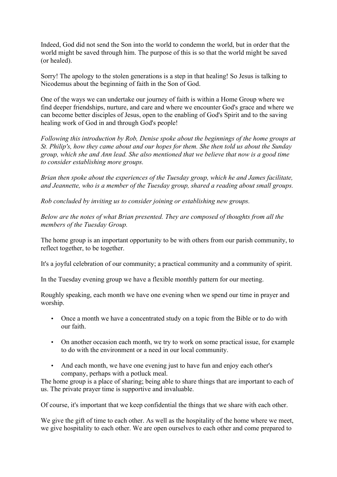Indeed, God did not send the Son into the world to condemn the world, but in order that the world might be saved through him. The purpose of this is so that the world might be saved (or healed).

Sorry! The apology to the stolen generations is a step in that healing! So Jesus is talking to Nicodemus about the beginning of faith in the Son of God.

One of the ways we can undertake our journey of faith is within a Home Group where we find deeper friendships, nurture, and care and where we encounter God's grace and where we can become better disciples of Jesus, open to the enabling of God's Spirit and to the saving healing work of God in and through God's people!

*Following this introduction by Rob, Denise spoke about the beginnings of the home groups at St. Philip's, how they came about and our hopes for them. She then told us about the Sunday group, which she and Ann lead. She also mentioned that we believe that now is a good time to consider establishing more groups.* 

*Brian then spoke about the experiences of the Tuesday group, which he and James facilitate, and Jeannette, who is a member of the Tuesday group, shared a reading about small groups.* 

*Rob concluded by inviting us to consider joining or establishing new groups.* 

*Below are the notes of what Brian presented. They are composed of thoughts from all the members of the Tuesday Group.*

The home group is an important opportunity to be with others from our parish community, to reflect together, to be together.

It's a joyful celebration of our community; a practical community and a community of spirit.

In the Tuesday evening group we have a flexible monthly pattern for our meeting.

Roughly speaking, each month we have one evening when we spend our time in prayer and worship.

- Once a month we have a concentrated study on a topic from the Bible or to do with our faith.
- On another occasion each month, we try to work on some practical issue, for example to do with the environment or a need in our local community.
- And each month, we have one evening just to have fun and enjoy each other's company, perhaps with a potluck meal.

The home group is a place of sharing; being able to share things that are important to each of us. The private prayer time is supportive and invaluable.

Of course, it's important that we keep confidential the things that we share with each other.

We give the gift of time to each other. As well as the hospitality of the home where we meet, we give hospitality to each other. We are open ourselves to each other and come prepared to